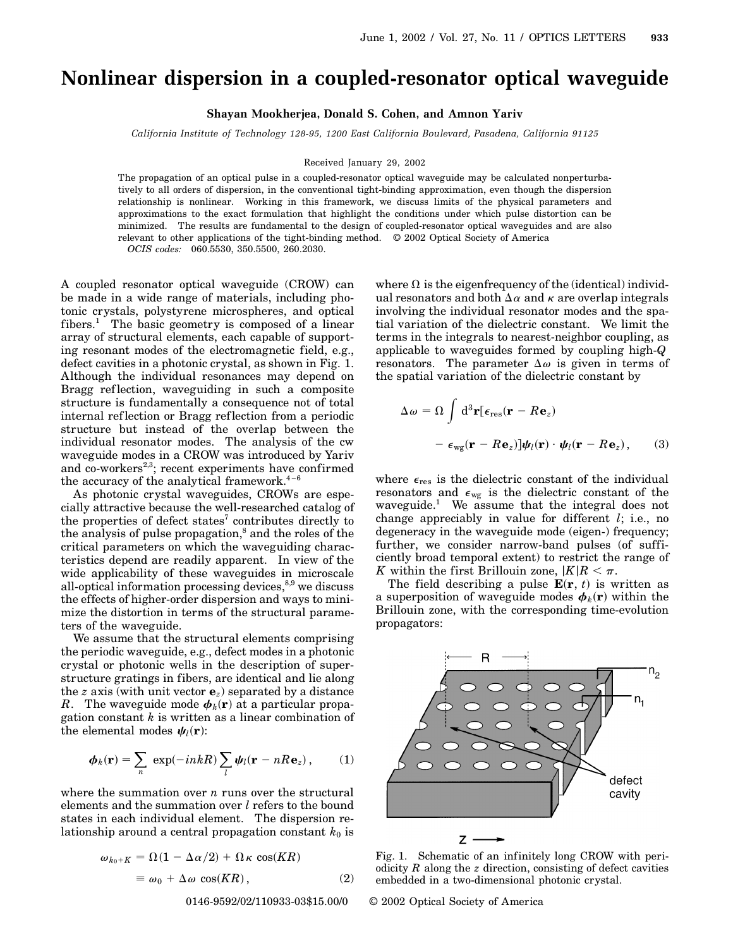## **Nonlinear dispersion in a coupled-resonator optical waveguide**

**Shayan Mookherjea, Donald S. Cohen, and Amnon Yariv**

*California Institute of Technology 128-95, 1200 East California Boulevard, Pasadena, California 91125*

Received January 29, 2002

The propagation of an optical pulse in a coupled-resonator optical waveguide may be calculated nonperturbatively to all orders of dispersion, in the conventional tight-binding approximation, even though the dispersion relationship is nonlinear. Working in this framework, we discuss limits of the physical parameters and approximations to the exact formulation that highlight the conditions under which pulse distortion can be minimized. The results are fundamental to the design of coupled-resonator optical waveguides and are also relevant to other applications of the tight-binding method. © 2002 Optical Society of America

*OCIS codes:* 060.5530, 350.5500, 260.2030.

A coupled resonator optical waveguide (CROW) can be made in a wide range of materials, including photonic crystals, polystyrene microspheres, and optical fibers.<sup>1</sup> The basic geometry is composed of a linear array of structural elements, each capable of supporting resonant modes of the electromagnetic field, e.g., defect cavities in a photonic crystal, as shown in Fig. 1. Although the individual resonances may depend on Bragg ref lection, waveguiding in such a composite structure is fundamentally a consequence not of total internal ref lection or Bragg reflection from a periodic structure but instead of the overlap between the individual resonator modes. The analysis of the cw waveguide modes in a CROW was introduced by Yariv and co-workers<sup>2,3</sup>; recent experiments have confirmed the accuracy of the analytical framework. $4-6$ 

As photonic crystal waveguides, CROWs are especially attractive because the well-researched catalog of the properties of defect states<sup>7</sup> contributes directly to the analysis of pulse propagation, $\delta$  and the roles of the critical parameters on which the waveguiding characteristics depend are readily apparent. In view of the wide applicability of these waveguides in microscale all-optical information processing devices, $8,9$  we discuss the effects of higher-order dispersion and ways to minimize the distortion in terms of the structural parameters of the waveguide.

We assume that the structural elements comprising the periodic waveguide, e.g., defect modes in a photonic crystal or photonic wells in the description of superstructure gratings in fibers, are identical and lie along the *z* axis (with unit vector **e***z*) separated by a distance *R*. The waveguide mode  $\boldsymbol{\phi}_k(\mathbf{r})$  at a particular propagation constant *k* is written as a linear combination of the elemental modes  $\psi_l(\mathbf{r})$ :

$$
\boldsymbol{\phi}_k(\mathbf{r}) = \sum_n \exp(-inkR) \sum_l \boldsymbol{\psi}_l(\mathbf{r} - nR\mathbf{e}_z), \qquad (1)
$$

where the summation over *n* runs over the structural elements and the summation over *l* refers to the bound states in each individual element. The dispersion relationship around a central propagation constant  $k_0$  is

$$
\omega_{k_0+K} = \Omega(1 - \Delta\alpha/2) + \Omega\kappa \cos(KR)
$$
  
=  $\omega_0 + \Delta\omega \cos(KR)$ , (2)

where  $\Omega$  is the eigenfrequency of the (identical) individual resonators and both  $\Delta \alpha$  and  $\kappa$  are overlap integrals involving the individual resonator modes and the spatial variation of the dielectric constant. We limit the terms in the integrals to nearest-neighbor coupling, as applicable to waveguides formed by coupling high-*Q* resonators. The parameter  $\Delta \omega$  is given in terms of the spatial variation of the dielectric constant by

$$
\Delta \omega = \Omega \int d^3 \mathbf{r} [\epsilon_{res} (\mathbf{r} - R\mathbf{e}_z) \n- \epsilon_{wg} (\mathbf{r} - R\mathbf{e}_z) ] \psi_l(\mathbf{r}) \cdot \psi_l(\mathbf{r} - R\mathbf{e}_z), \quad (3)
$$

where  $\epsilon_{\text{res}}$  is the dielectric constant of the individual resonators and  $\epsilon_{wg}$  is the dielectric constant of the waveguide.<sup>1</sup> We assume that the integral does not change appreciably in value for different *l*; i.e., no degeneracy in the waveguide mode (eigen-) frequency; further, we consider narrow-band pulses (of sufficiently broad temporal extent) to restrict the range of *K* within the first Brillouin zone,  $|K|R| < \pi$ .

The field describing a pulse  $\mathbf{E}(\mathbf{r}, t)$  is written as a superposition of waveguide modes  $\boldsymbol{\phi}_k(\mathbf{r})$  within the Brillouin zone, with the corresponding time-evolution propagators:



Fig. 1. Schematic of an infinitely long CROW with periodicity *R* along the *z* direction, consisting of defect cavities embedded in a two-dimensional photonic crystal.

0146-9592/02/110933-03\$15.00/0 © 2002 Optical Society of America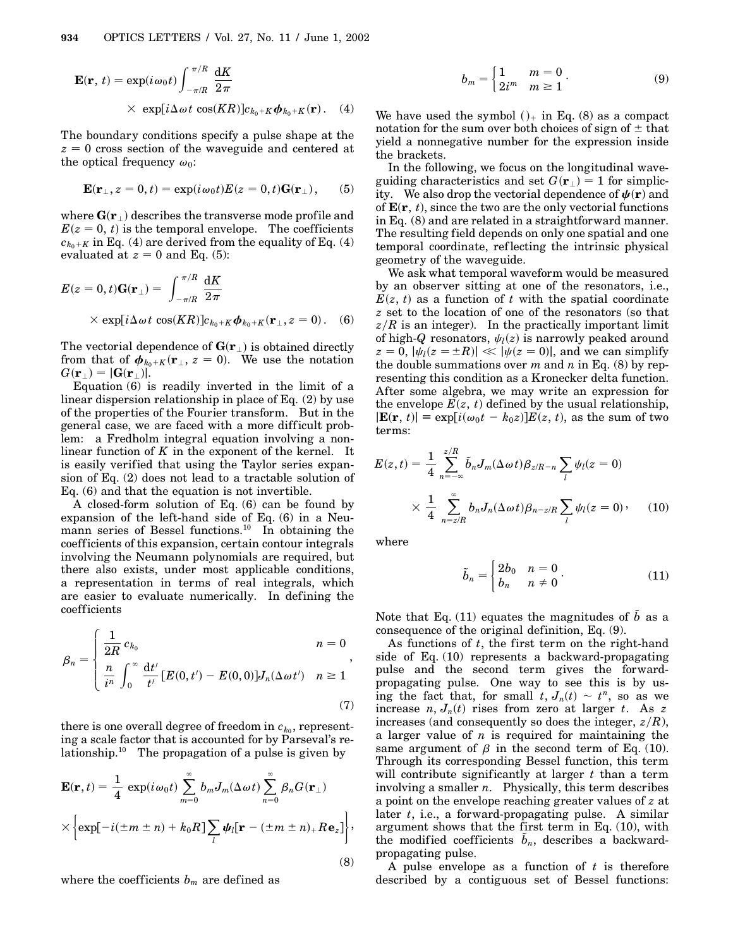$$
\mathbf{E}(\mathbf{r}, t) = \exp(i\omega_0 t) \int_{-\pi/R}^{\pi/R} \frac{dK}{2\pi}
$$
  
 
$$
\times \exp[i\Delta\omega t \cos(KR)]c_{k_0+K}\phi_{k_0+K}(\mathbf{r}). \quad (4)
$$

The boundary conditions specify a pulse shape at the  $z = 0$  cross section of the waveguide and centered at the optical frequency  $\omega_0$ :

$$
\mathbf{E}(\mathbf{r}_{\perp}, z=0, t) = \exp(i\omega_0 t) E(z=0, t) \mathbf{G}(\mathbf{r}_{\perp}), \quad (5)
$$

where  $\mathbf{G}(\mathbf{r}_{\perp})$  describes the transverse mode profile and  $E(z = 0, t)$  is the temporal envelope. The coefficients  $c_{k_0+K}$  in Eq. (4) are derived from the equality of Eq. (4) evaluated at  $z = 0$  and Eq. (5):

$$
E(z = 0, t)\mathbf{G}(\mathbf{r}_{\perp}) = \int_{-\pi/R}^{\pi/R} \frac{dK}{2\pi}
$$
  
×  $\exp[i\Delta\omega t \cos(KR)]c_{k_0+K}\boldsymbol{\phi}_{k_0+K}(\mathbf{r}_{\perp}, z = 0).$  (6)

The vectorial dependence of  $\mathbf{G}(\mathbf{r}_\perp)$  is obtained directly from that of  $\boldsymbol{\phi}_{k_0+K}(\mathbf{r}_{\perp}, z=0)$ . We use the notation  $G(\mathbf{r}_{\perp}) = |\mathbf{G}(\mathbf{r}_{\perp})|.$ 

Equation (6) is readily inverted in the limit of a linear dispersion relationship in place of Eq. (2) by use of the properties of the Fourier transform. But in the general case, we are faced with a more difficult problem: a Fredholm integral equation involving a nonlinear function of *K* in the exponent of the kernel. It is easily verified that using the Taylor series expansion of Eq. (2) does not lead to a tractable solution of Eq. (6) and that the equation is not invertible.

A closed-form solution of Eq. (6) can be found by expansion of the left-hand side of Eq. (6) in a Neumann series of Bessel functions.<sup>10</sup> In obtaining the coefficients of this expansion, certain contour integrals involving the Neumann polynomials are required, but there also exists, under most applicable conditions, a representation in terms of real integrals, which are easier to evaluate numerically. In defining the coefficients

$$
\beta_n = \begin{cases} \frac{1}{2R} c_{k_0} & n = 0 \\ \frac{n}{i^n} \int_0^\infty \frac{\mathrm{d}t'}{t'} [E(0, t') - E(0, 0)] J_n(\Delta \omega t') & n \ge 1 \end{cases},
$$
\n(7)

there is one overall degree of freedom in  $c_{k_0}$ , representing a scale factor that is accounted for by Parseval's relationship.<sup>10</sup> The propagation of a pulse is given by

$$
\mathbf{E}(\mathbf{r},t) = \frac{1}{4} \exp(i\omega_0 t) \sum_{m=0}^{\infty} b_m J_m(\Delta \omega t) \sum_{n=0}^{\infty} \beta_n G(\mathbf{r}_{\perp})
$$
  
 
$$
\times \left\{ \exp[-i(\pm m \pm n) + k_0 R] \sum_{l} \psi_l [\mathbf{r} - (\pm m \pm n)_+ R \mathbf{e}_z] \right\},
$$
(8)

where the coefficients *bm* are defined as

$$
b_m = \begin{cases} 1 & m = 0 \\ 2i^m & m \ge 1 \end{cases}.
$$
 (9)

We have used the symbol  $()_+$  in Eq. (8) as a compact notation for the sum over both choices of sign of  $\pm$  that yield a nonnegative number for the expression inside the brackets.

In the following, we focus on the longitudinal waveguiding characteristics and set  $G(\mathbf{r}_{\perp}) = 1$  for simplicity. We also drop the vectorial dependence of  $\psi(\mathbf{r})$  and of  $\mathbf{E}(\mathbf{r}, t)$ , since the two are the only vectorial functions in Eq. (8) and are related in a straightforward manner. The resulting field depends on only one spatial and one temporal coordinate, ref lecting the intrinsic physical geometry of the waveguide.

We ask what temporal waveform would be measured by an observer sitting at one of the resonators, i.e.,  $E(z, t)$  as a function of *t* with the spatial coordinate *z* set to the location of one of the resonators (so that  $z/R$  is an integer). In the practically important limit of high- $Q$  resonators,  $\psi_l(z)$  is narrowly peaked around  $z = 0$ ,  $|\psi_l(z = \pm R)| \ll |\psi(z = 0)|$ , and we can simplify the double summations over *m* and *n* in Eq. (8) by representing this condition as a Kronecker delta function. After some algebra, we may write an expression for the envelope  $E(z, t)$  defined by the usual relationship,  $|\mathbf{E}(\mathbf{r}, t)| \equiv \exp[i(\omega_0 t - k_0 z)]E(z, t)$ , as the sum of two terms:

$$
E(z,t) = \frac{1}{4} \sum_{n=-\infty}^{z/R} \tilde{b}_n J_m(\Delta \omega t) \beta_{z/R-n} \sum_l \psi_l(z=0)
$$
  
 
$$
\times \frac{1}{4} \sum_{n=z/R}^{\infty} b_n J_n(\Delta \omega t) \beta_{n-z/R} \sum_l \psi_l(z=0), \quad (10)
$$

where

$$
\tilde{b}_n = \begin{cases} 2b_0 & n = 0 \\ b_n & n \neq 0 \end{cases}.
$$
\n(11)

Note that Eq. (11) equates the magnitudes of  $\tilde{b}$  as a consequence of the original definition, Eq. (9).

As functions of *t*, the first term on the right-hand side of Eq. (10) represents a backward-propagating pulse and the second term gives the forwardpropagating pulse. One way to see this is by using the fact that, for small  $t, J_n(t) \sim t^n$ , so as we increase  $n, J_n(t)$  rises from zero at larger  $t$ . As  $z$ increases (and consequently so does the integer, *zR*), a larger value of *n* is required for maintaining the same argument of  $\beta$  in the second term of Eq. (10). Through its corresponding Bessel function, this term will contribute significantly at larger *t* than a term involving a smaller *n*. Physically, this term describes a point on the envelope reaching greater values of *z* at later *t*, i.e., a forward-propagating pulse. A similar argument shows that the first term in Eq. (10), with the modified coefficients  $\tilde{b}_n$ , describes a backwardpropagating pulse.

A pulse envelope as a function of *t* is therefore described by a contiguous set of Bessel functions: